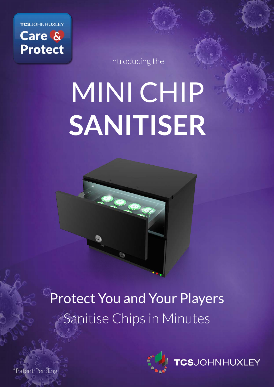**TCS**JOHNHUXLEY Care & **Protect** 

Introducing the

# MINI CHIP **SANITISER**

Cee

Protect You and Your Players Sanitise Chips in Minutes



**CS**JOHNHUXLEY

\*Patent Pending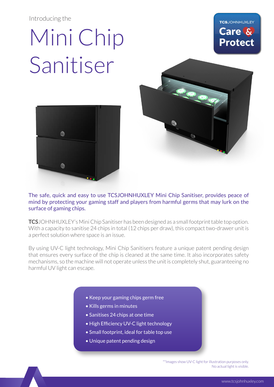#### Introducing the

## Mini Chip Sanitiser







The safe, quick and easy to use TCSJOHNHUXLEY Mini Chip Sanitiser, provides peace of mind by protecting your gaming staff and players from harmful germs that may lurk on the surface of gaming chips.

**TCS**JOHNHUXLEY's Mini Chip Sanitiser has been designed as a small footprint table top option. With a capacity to sanitise 24 chips in total (12 chips per draw), this compact two-drawer unit is a perfect solution where space is an issue.

By using UV-C light technology, Mini Chip Sanitisers feature a unique patent pending design that ensures every surface of the chip is cleaned at the same time. It also incorporates safety mechanisms, so the machine will not operate unless the unit is completely shut, guaranteeing no harmful UV light can escape.

- Keep your gaming chips germ free
- Kills germs in minutes
- Sanitises 24 chips at one time
- High Efficiency UV-C light technology
- Small footprint, ideal for table top use
- Unique patent pending design

\*\*Images show UV-C light for illustration purposes only. No actual light is visible.